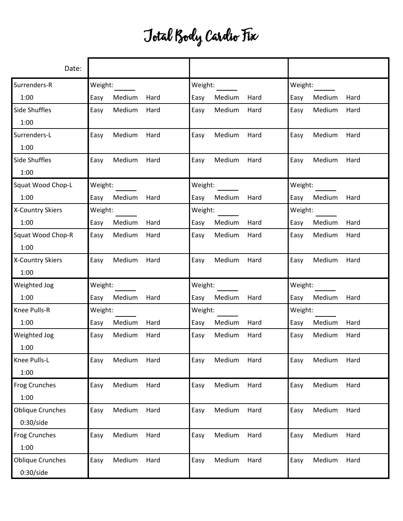## Total Body Cardio Fix

| Date:                   |         |        |      |         |        |      |         |        |      |
|-------------------------|---------|--------|------|---------|--------|------|---------|--------|------|
| Surrenders-R            | Weight: |        |      | Weight: |        |      | Weight: |        |      |
| 1:00                    | Easy    | Medium | Hard | Easy    | Medium | Hard | Easy    | Medium | Hard |
| Side Shuffles           | Easy    | Medium | Hard | Easy    | Medium | Hard | Easy    | Medium | Hard |
| 1:00                    |         |        |      |         |        |      |         |        |      |
| Surrenders-L            | Easy    | Medium | Hard | Easy    | Medium | Hard | Easy    | Medium | Hard |
| 1:00                    |         |        |      |         |        |      |         |        |      |
| Side Shuffles           | Easy    | Medium | Hard | Easy    | Medium | Hard | Easy    | Medium | Hard |
| 1:00                    |         |        |      |         |        |      |         |        |      |
| Squat Wood Chop-L       | Weight: |        |      | Weight: |        |      | Weight: |        |      |
| 1:00                    | Easy    | Medium | Hard | Easy    | Medium | Hard | Easy    | Medium | Hard |
| X-Country Skiers        | Weight: |        |      | Weight: |        |      | Weight: |        |      |
| 1:00                    | Easy    | Medium | Hard | Easy    | Medium | Hard | Easy    | Medium | Hard |
| Squat Wood Chop-R       | Easy    | Medium | Hard | Easy    | Medium | Hard | Easy    | Medium | Hard |
| 1:00                    |         |        |      |         |        |      |         |        |      |
| X-Country Skiers        | Easy    | Medium | Hard | Easy    | Medium | Hard | Easy    | Medium | Hard |
| 1:00                    |         |        |      |         |        |      |         |        |      |
| Weighted Jog            | Weight: |        |      | Weight: |        |      | Weight: |        |      |
| 1:00                    | Easy    | Medium | Hard | Easy    | Medium | Hard | Easy    | Medium | Hard |
| Knee Pulls-R            | Weight: |        |      | Weight: |        |      | Weight: |        |      |
| 1:00                    | Easy    | Medium | Hard | Easy    | Medium | Hard | Easy    | Medium | Hard |
| Weighted Jog            | Easy    | Medium | Hard | Easy    | Medium | Hard | Easy    | Medium | Hard |
| 1:00                    |         |        |      |         |        |      |         |        |      |
| Knee Pulls-L            | Easy    | Medium | Hard | Easy    | Medium | Hard | Easy    | Medium | Hard |
| 1:00                    |         |        |      |         |        |      |         |        |      |
| Frog Crunches           | Easy    | Medium | Hard | Easy    | Medium | Hard | Easy    | Medium | Hard |
| 1:00                    |         |        |      |         |        |      |         |        |      |
| <b>Oblique Crunches</b> | Easy    | Medium | Hard | Easy    | Medium | Hard | Easy    | Medium | Hard |
| 0:30/side               |         |        |      |         |        |      |         |        |      |
| <b>Frog Crunches</b>    | Easy    | Medium | Hard | Easy    | Medium | Hard | Easy    | Medium | Hard |
| 1:00                    |         |        |      |         |        |      |         |        |      |
| <b>Oblique Crunches</b> | Easy    | Medium | Hard | Easy    | Medium | Hard | Easy    | Medium | Hard |
| 0:30/side               |         |        |      |         |        |      |         |        |      |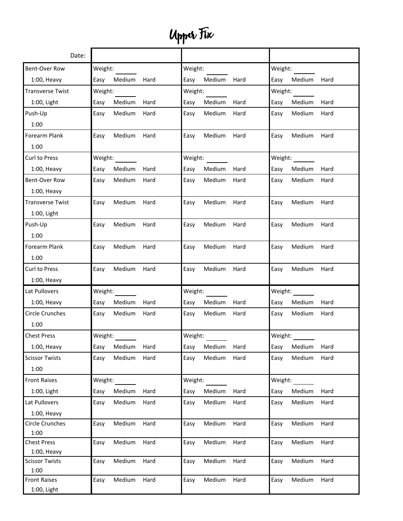## Upper Fix

| Date:                      |                        |                        |                        |  |  |  |
|----------------------------|------------------------|------------------------|------------------------|--|--|--|
| Bent-Over Row              | Weight:                | Weight:                | Weight:                |  |  |  |
| $1:00$ , Heavy             | Easy<br>Medium<br>Hard | Easy<br>Medium<br>Hard | Easy<br>Medium Hard    |  |  |  |
| <b>Transverse Twist</b>    | Weight:                | Weight:                | Weight:                |  |  |  |
| 1:00, Light                | Easy<br>Medium<br>Hard | Easy<br>Medium<br>Hard | Medium<br>Easy<br>Hard |  |  |  |
| Push-Up                    | Medium<br>Hard<br>Easy | Medium<br>Easy<br>Hard | Medium<br>Hard<br>Easy |  |  |  |
| 1:00                       |                        |                        |                        |  |  |  |
| <b>Forearm Plank</b>       | Medium<br>Hard<br>Easy | Easy<br>Medium<br>Hard | Easy<br>Medium<br>Hard |  |  |  |
| 1:00                       |                        |                        |                        |  |  |  |
| Curl to Press              | Weight:                | Weight:                | Weight:                |  |  |  |
| $1:00$ , Heavy             | Easy<br>Medium<br>Hard | Easy<br>Medium<br>Hard | Easy<br>Medium<br>Hard |  |  |  |
| <b>Bent-Over Row</b>       | Medium<br>Hard<br>Easy | Medium<br>Hard<br>Easy | Easy<br>Medium<br>Hard |  |  |  |
| $1:00$ , Heavy             |                        |                        |                        |  |  |  |
| <b>Transverse Twist</b>    | Medium<br>Hard<br>Easy | Easy<br>Medium<br>Hard | Easy<br>Medium<br>Hard |  |  |  |
| 1:00, Light                |                        |                        |                        |  |  |  |
| Push-Up                    | Medium<br>Hard<br>Easy | Medium<br>Hard<br>Easy | Easy<br>Medium<br>Hard |  |  |  |
| 1:00                       |                        |                        |                        |  |  |  |
| Forearm Plank              | Medium<br>Hard<br>Easy | Medium<br>Easy<br>Hard | Easy<br>Medium<br>Hard |  |  |  |
| 1:00                       |                        |                        |                        |  |  |  |
| Curl to Press              | Medium<br>Hard<br>Easy | Medium<br>Easy<br>Hard | Medium<br>Easy<br>Hard |  |  |  |
| $1:00$ , Heavy             |                        |                        |                        |  |  |  |
| Lat Pullovers              | Weight:                | Weight:                | Weight:                |  |  |  |
| $1:00$ , Heavy             | Easy<br>Medium<br>Hard | Easy<br>Medium<br>Hard | Easy<br>Medium<br>Hard |  |  |  |
| <b>Circle Crunches</b>     | Medium<br>Easy<br>Hard | Medium<br>Easy<br>Hard | Easy<br>Medium<br>Hard |  |  |  |
| 1:00                       |                        |                        |                        |  |  |  |
| <b>Chest Press</b>         | Weight:                | Weight:                | Weight:                |  |  |  |
| $1:00$ , Heavy             | Medium<br>Hard<br>Easy | Medium<br>Easy<br>Hard | Medium<br>Hard<br>Easy |  |  |  |
| <b>Scissor Twists</b>      | Medium<br>Hard<br>Easy | Medium<br>Hard<br>Easy | Medium<br>Hard<br>Easy |  |  |  |
| 1:00                       |                        |                        |                        |  |  |  |
| <b>Front Raises</b>        | Weight:                | Weight:                | Weight:                |  |  |  |
| $1:00$ , Light             | Medium<br>Hard<br>Easy | Medium<br>Easy<br>Hard | Easy<br>Medium<br>Hard |  |  |  |
| Lat Pullovers              | Hard<br>Medium<br>Easy | Medium<br>Hard<br>Easy | Hard<br>Medium<br>Easy |  |  |  |
| $1:00$ , Heavy             |                        |                        |                        |  |  |  |
| <b>Circle Crunches</b>     | Medium<br>Easy<br>Hard | Medium<br>Easy<br>Hard | Easy<br>Medium<br>Hard |  |  |  |
| 1:00<br><b>Chest Press</b> | Medium<br>Hard         | Medium<br>Hard<br>Easy | Medium<br>Hard         |  |  |  |
| $1:00$ , Heavy             | Easy                   |                        | Easy                   |  |  |  |
| <b>Scissor Twists</b>      | Medium<br>Hard<br>Easy | Medium<br>Hard<br>Easy | Medium<br>Hard<br>Easy |  |  |  |
| 1:00                       |                        |                        |                        |  |  |  |
| <b>Front Raises</b>        | Medium<br>Hard<br>Easy | Easy<br>Medium<br>Hard | Easy<br>Medium<br>Hard |  |  |  |
| 1:00, Light                |                        |                        |                        |  |  |  |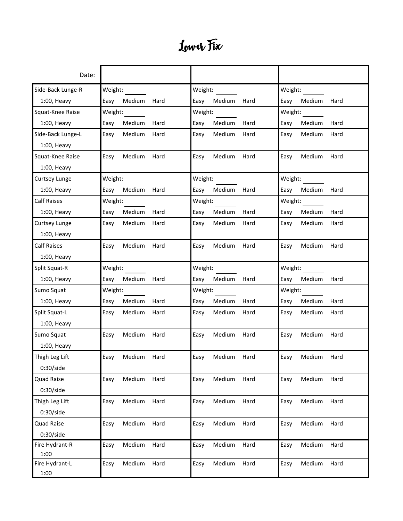## Lower Fix

| Date:                |                |         |         |        |         |         |             |      |
|----------------------|----------------|---------|---------|--------|---------|---------|-------------|------|
| Side-Back Lunge-R    | Weight:        | Weight: |         |        | Weight: |         |             |      |
| $1:00$ , Heavy       | Medium<br>Easy | Hard    | Easy    | Medium | Hard    | Easy    | Medium      | Hard |
| Squat-Knee Raise     | Weight:        |         | Weight: |        |         | Weight: |             |      |
| $1:00$ , Heavy       | Easy<br>Medium | Hard    | Easy    | Medium | Hard    | Easy    | Medium      | Hard |
| Side-Back Lunge-L    | Medium<br>Easy | Hard    | Easy    | Medium | Hard    | Easy    | Medium      | Hard |
| $1:00$ , Heavy       |                |         |         |        |         |         |             |      |
| Squat-Knee Raise     | Medium<br>Easy | Hard    | Easy    | Medium | Hard    | Easy    | Medium      | Hard |
| $1:00$ , Heavy       |                |         |         |        |         |         |             |      |
| <b>Curtsey Lunge</b> | Weight:        |         | Weight: |        |         | Weight: |             |      |
| $1:00$ , Heavy       | Easy<br>Medium | Hard    | Easy    | Medium | Hard    | Easy    | Medium      | Hard |
| <b>Calf Raises</b>   | Weight:        |         | Weight: |        |         | Weight: |             |      |
| $1:00$ , Heavy       | Medium<br>Easy | Hard    | Easy    | Medium | Hard    | Easy    | Medium      | Hard |
| <b>Curtsey Lunge</b> | Medium<br>Easy | Hard    | Easy    | Medium | Hard    | Easy    | Medium      | Hard |
| $1:00$ , Heavy       |                |         |         |        |         |         |             |      |
| <b>Calf Raises</b>   | Medium<br>Easy | Hard    | Easy    | Medium | Hard    | Easy    | Medium      | Hard |
| $1:00$ , Heavy       |                |         |         |        |         |         |             |      |
| Split Squat-R        | Weight:        |         | Weight: |        |         | Weight: |             |      |
| $1:00$ , Heavy       | Medium<br>Easy | Hard    | Easy    | Medium | Hard    | Easy    | Medium      | Hard |
| Sumo Squat           | Weight:        |         | Weight: |        |         | Weight: |             |      |
| $1:00$ , Heavy       | Medium<br>Easy | Hard    | Easy    | Medium | Hard    | Easy    | Medium      | Hard |
| Split Squat-L        | Medium<br>Easy | Hard    | Easy    | Medium | Hard    | Easy    | Medium      | Hard |
| $1:00$ , Heavy       |                |         |         |        |         |         |             |      |
| Sumo Squat           | Medium<br>Easy | Hard    | Easy    | Medium | Hard    | Easy    | Medium      | Hard |
| $1:00$ , Heavy       |                |         |         |        |         |         |             |      |
| Thigh Leg Lift       | Easy<br>Medium | Hard    | Easy    | Medium | Hard    | Easy    | Medium Hard |      |
| 0:30/side            |                |         |         |        |         |         |             |      |
| Quad Raise           | Medium<br>Easy | Hard    | Easy    | Medium | Hard    | Easy    | Medium      | Hard |
| 0:30/side            |                |         |         |        |         |         |             |      |
| Thigh Leg Lift       | Medium<br>Easy | Hard    | Easy    | Medium | Hard    | Easy    | Medium      | Hard |
| 0:30/side            |                |         |         |        |         |         |             |      |
| <b>Quad Raise</b>    | Medium<br>Easy | Hard    | Easy    | Medium | Hard    | Easy    | Medium      | Hard |
| 0:30/side            |                |         |         |        |         |         |             |      |
| Fire Hydrant-R       | Medium<br>Easy | Hard    | Easy    | Medium | Hard    | Easy    | Medium      | Hard |
| 1:00                 |                |         |         |        |         |         |             |      |
| Fire Hydrant-L       | Medium<br>Easy | Hard    | Easy    | Medium | Hard    | Easy    | Medium      | Hard |
| 1:00                 |                |         |         |        |         |         |             |      |